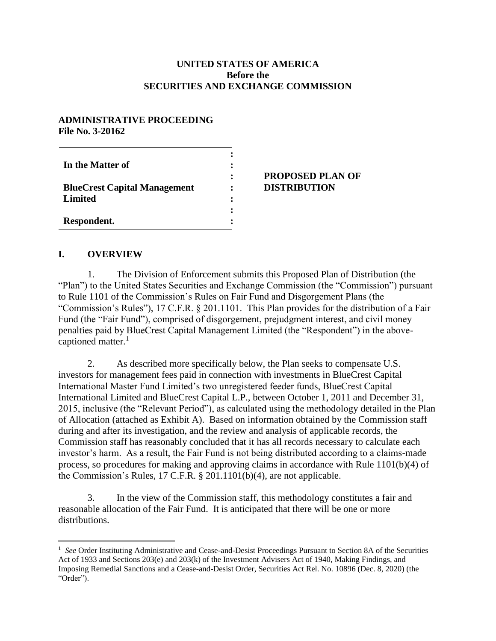#### **UNITED STATES OF AMERICA Before the SECURITIES AND EXCHANGE COMMISSION**

#### **ADMINISTRATIVE PROCEEDING File No. 3-20162**

| In the Matter of                    | ٠<br>፡ | <b>PROPOSED PLAN OF</b> |
|-------------------------------------|--------|-------------------------|
| <b>BlueCrest Capital Management</b> |        | <b>DISTRIBUTION</b>     |
| Limited                             | ٠      |                         |
| Respondent.                         |        |                         |

#### **I. OVERVIEW**

 $\overline{a}$ 

1. The Division of Enforcement submits this Proposed Plan of Distribution (the "Plan") to the United States Securities and Exchange Commission (the "Commission") pursuant to Rule 1101 of the Commission's Rules on Fair Fund and Disgorgement Plans (the "Commission's Rules"), 17 C.F.R. § 201.1101. This Plan provides for the distribution of a Fair Fund (the "Fair Fund"), comprised of disgorgement, prejudgment interest, and civil money penalties paid by BlueCrest Capital Management Limited (the "Respondent") in the abovecaptioned matter. $<sup>1</sup>$ </sup>

2. As described more specifically below, the Plan seeks to compensate U.S. investors for management fees paid in connection with investments in BlueCrest Capital International Master Fund Limited's two unregistered feeder funds, BlueCrest Capital International Limited and BlueCrest Capital L.P., between October 1, 2011 and December 31, 2015, inclusive (the "Relevant Period"), as calculated using the methodology detailed in the Plan of Allocation (attached as Exhibit A). Based on information obtained by the Commission staff during and after its investigation, and the review and analysis of applicable records, the Commission staff has reasonably concluded that it has all records necessary to calculate each investor's harm. As a result, the Fair Fund is not being distributed according to a claims-made process, so procedures for making and approving claims in accordance with Rule 1101(b)(4) of the Commission's Rules, 17 C.F.R. § 201.1101(b)(4), are not applicable.

3. In the view of the Commission staff, this methodology constitutes a fair and reasonable allocation of the Fair Fund. It is anticipated that there will be one or more distributions.

<sup>&</sup>lt;sup>1</sup> See Order Instituting Administrative and Cease-and-Desist Proceedings Pursuant to Section 8A of the Securities Act of 1933 and Sections 203(e) and 203(k) of the Investment Advisers Act of 1940, Making Findings, and Imposing Remedial Sanctions and a Cease-and-Desist Order, Securities Act Rel. No. 10896 (Dec. 8, 2020) (the "Order").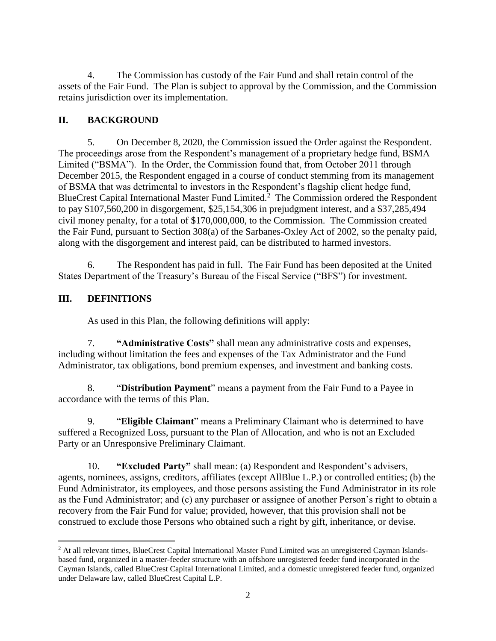4. The Commission has custody of the Fair Fund and shall retain control of the assets of the Fair Fund. The Plan is subject to approval by the Commission, and the Commission retains jurisdiction over its implementation.

# **II. BACKGROUND**

5. On December 8, 2020, the Commission issued the Order against the Respondent. The proceedings arose from the Respondent's management of a proprietary hedge fund, BSMA Limited ("BSMA"). In the Order, the Commission found that, from October 2011 through December 2015, the Respondent engaged in a course of conduct stemming from its management of BSMA that was detrimental to investors in the Respondent's flagship client hedge fund, BlueCrest Capital International Master Fund Limited.<sup>2</sup> The Commission ordered the Respondent to pay \$107,560,200 in disgorgement, \$25,154,306 in prejudgment interest, and a \$37,285,494 civil money penalty, for a total of \$170,000,000, to the Commission. The Commission created the Fair Fund, pursuant to Section 308(a) of the Sarbanes-Oxley Act of 2002, so the penalty paid, along with the disgorgement and interest paid, can be distributed to harmed investors.

6. The Respondent has paid in full. The Fair Fund has been deposited at the United States Department of the Treasury's Bureau of the Fiscal Service ("BFS") for investment.

# **III. DEFINITIONS**

As used in this Plan, the following definitions will apply:

7. **"Administrative Costs"** shall mean any administrative costs and expenses, including without limitation the fees and expenses of the Tax Administrator and the Fund Administrator, tax obligations, bond premium expenses, and investment and banking costs.

8. "**Distribution Payment**" means a payment from the Fair Fund to a Payee in accordance with the terms of this Plan.

9. "**Eligible Claimant**" means a Preliminary Claimant who is determined to have suffered a Recognized Loss, pursuant to the Plan of Allocation, and who is not an Excluded Party or an Unresponsive Preliminary Claimant.

10. **"Excluded Party"** shall mean: (a) Respondent and Respondent's advisers, agents, nominees, assigns, creditors, affiliates (except AllBlue L.P.) or controlled entities; (b) the Fund Administrator, its employees, and those persons assisting the Fund Administrator in its role as the Fund Administrator; and (c) any purchaser or assignee of another Person's right to obtain a recovery from the Fair Fund for value; provided, however, that this provision shall not be construed to exclude those Persons who obtained such a right by gift, inheritance, or devise.

 $\overline{a}$ <sup>2</sup> At all relevant times, BlueCrest Capital International Master Fund Limited was an unregistered Cayman Islandsbased fund, organized in a master-feeder structure with an offshore unregistered feeder fund incorporated in the Cayman Islands, called BlueCrest Capital International Limited, and a domestic unregistered feeder fund, organized under Delaware law, called BlueCrest Capital L.P.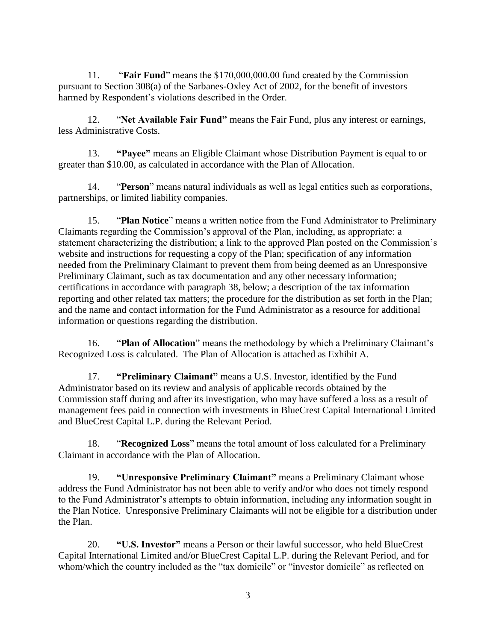11. "**Fair Fund**" means the \$170,000,000.00 fund created by the Commission pursuant to Section 308(a) of the Sarbanes-Oxley Act of 2002, for the benefit of investors harmed by Respondent's violations described in the Order.

12. "**Net Available Fair Fund"** means the Fair Fund, plus any interest or earnings, less Administrative Costs.

13. **"Payee"** means an Eligible Claimant whose Distribution Payment is equal to or greater than \$10.00, as calculated in accordance with the Plan of Allocation.

14. "**Person**" means natural individuals as well as legal entities such as corporations, partnerships, or limited liability companies.

15. "**Plan Notice**" means a written notice from the Fund Administrator to Preliminary Claimants regarding the Commission's approval of the Plan, including, as appropriate: a statement characterizing the distribution; a link to the approved Plan posted on the Commission's website and instructions for requesting a copy of the Plan; specification of any information needed from the Preliminary Claimant to prevent them from being deemed as an Unresponsive Preliminary Claimant, such as tax documentation and any other necessary information; certifications in accordance with paragraph 38, below; a description of the tax information reporting and other related tax matters; the procedure for the distribution as set forth in the Plan; and the name and contact information for the Fund Administrator as a resource for additional information or questions regarding the distribution.

16. "**Plan of Allocation**" means the methodology by which a Preliminary Claimant's Recognized Loss is calculated. The Plan of Allocation is attached as Exhibit A.

17. **"Preliminary Claimant"** means a U.S. Investor, identified by the Fund Administrator based on its review and analysis of applicable records obtained by the Commission staff during and after its investigation, who may have suffered a loss as a result of management fees paid in connection with investments in BlueCrest Capital International Limited and BlueCrest Capital L.P. during the Relevant Period.

18. "**Recognized Loss**" means the total amount of loss calculated for a Preliminary Claimant in accordance with the Plan of Allocation.

19. **"Unresponsive Preliminary Claimant"** means a Preliminary Claimant whose address the Fund Administrator has not been able to verify and/or who does not timely respond to the Fund Administrator's attempts to obtain information, including any information sought in the Plan Notice. Unresponsive Preliminary Claimants will not be eligible for a distribution under the Plan.

20. **"U.S. Investor"** means a Person or their lawful successor, who held BlueCrest Capital International Limited and/or BlueCrest Capital L.P. during the Relevant Period, and for whom/which the country included as the "tax domicile" or "investor domicile" as reflected on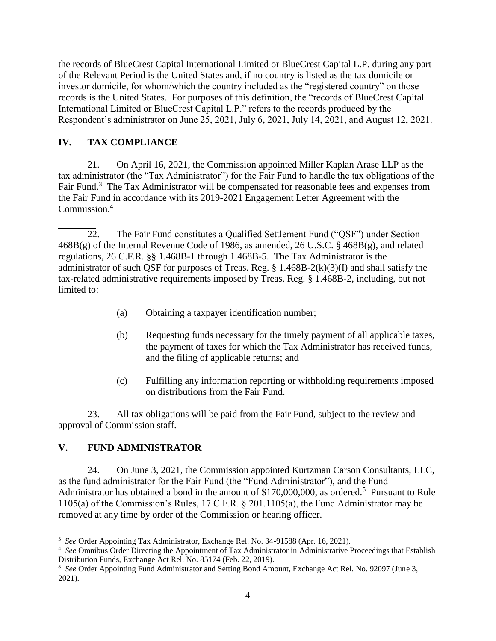the records of BlueCrest Capital International Limited or BlueCrest Capital L.P. during any part of the Relevant Period is the United States and, if no country is listed as the tax domicile or investor domicile, for whom/which the country included as the "registered country" on those records is the United States. For purposes of this definition, the "records of BlueCrest Capital International Limited or BlueCrest Capital L.P." refers to the records produced by the Respondent's administrator on June 25, 2021, July 6, 2021, July 14, 2021, and August 12, 2021.

## **IV. TAX COMPLIANCE**

21. On April 16, 2021, the Commission appointed Miller Kaplan Arase LLP as the tax administrator (the "Tax Administrator") for the Fair Fund to handle the tax obligations of the Fair Fund.<sup>3</sup> The Tax Administrator will be compensated for reasonable fees and expenses from the Fair Fund in accordance with its 2019-2021 Engagement Letter Agreement with the Commission.<sup>4</sup>

- (a) Obtaining a taxpayer identification number;
- (b) Requesting funds necessary for the timely payment of all applicable taxes, the payment of taxes for which the Tax Administrator has received funds, and the filing of applicable returns; and
- (c) Fulfilling any information reporting or withholding requirements imposed on distributions from the Fair Fund.

23. All tax obligations will be paid from the Fair Fund, subject to the review and approval of Commission staff.

# **V. FUND ADMINISTRATOR**

 $\overline{a}$ 

24. On June 3, 2021, the Commission appointed Kurtzman Carson Consultants, LLC, as the fund administrator for the Fair Fund (the "Fund Administrator"), and the Fund Administrator has obtained a bond in the amount of \$170,000,000, as ordered.<sup>5</sup> Pursuant to Rule 1105(a) of the Commission's Rules, 17 C.F.R. § 201.1105(a), the Fund Administrator may be removed at any time by order of the Commission or hearing officer.

<sup>22.</sup> The Fair Fund constitutes a Qualified Settlement Fund ("QSF") under Section 468B(g) of the Internal Revenue Code of 1986, as amended, 26 U.S.C. § 468B(g), and related regulations, 26 C.F.R. §§ 1.468B-1 through 1.468B-5. The Tax Administrator is the administrator of such QSF for purposes of Treas. Reg. § 1.468B-2(k)(3)(I) and shall satisfy the tax-related administrative requirements imposed by Treas. Reg. § 1.468B-2, including, but not limited to:

<sup>3</sup> *See* Order Appointing Tax Administrator, Exchange Rel. No. 34-91588 (Apr. 16, 2021).

<sup>4</sup> *See* Omnibus Order Directing the Appointment of Tax Administrator in Administrative Proceedings that Establish Distribution Funds, Exchange Act Rel. No. 85174 (Feb. 22, 2019).

**<sup>5</sup>** *See* Order Appointing Fund Administrator and Setting Bond Amount, Exchange Act Rel. No. 92097 (June 3, 2021).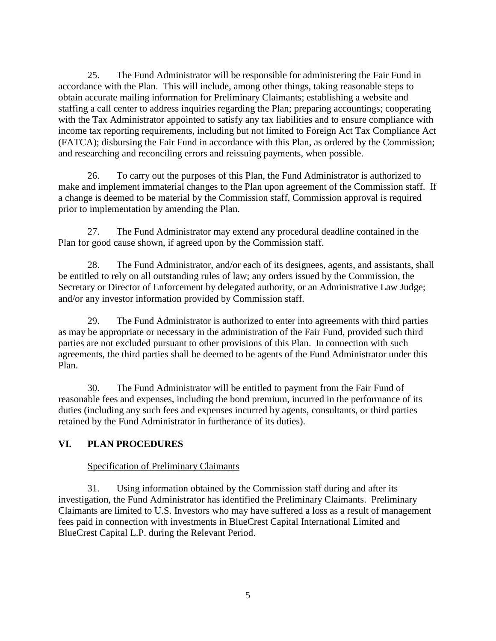25. The Fund Administrator will be responsible for administering the Fair Fund in accordance with the Plan. This will include, among other things, taking reasonable steps to obtain accurate mailing information for Preliminary Claimants; establishing a website and staffing a call center to address inquiries regarding the Plan; preparing accountings; cooperating with the Tax Administrator appointed to satisfy any tax liabilities and to ensure compliance with income tax reporting requirements, including but not limited to Foreign Act Tax Compliance Act (FATCA); disbursing the Fair Fund in accordance with this Plan, as ordered by the Commission; and researching and reconciling errors and reissuing payments, when possible.

26. To carry out the purposes of this Plan, the Fund Administrator is authorized to make and implement immaterial changes to the Plan upon agreement of the Commission staff. If a change is deemed to be material by the Commission staff, Commission approval is required prior to implementation by amending the Plan.

27. The Fund Administrator may extend any procedural deadline contained in the Plan for good cause shown, if agreed upon by the Commission staff.

28. The Fund Administrator, and/or each of its designees, agents, and assistants, shall be entitled to rely on all outstanding rules of law; any orders issued by the Commission, the Secretary or Director of Enforcement by delegated authority, or an Administrative Law Judge; and/or any investor information provided by Commission staff.

29. The Fund Administrator is authorized to enter into agreements with third parties as may be appropriate or necessary in the administration of the Fair Fund, provided such third parties are not excluded pursuant to other provisions of this Plan. In connection with such agreements, the third parties shall be deemed to be agents of the Fund Administrator under this Plan.

30. The Fund Administrator will be entitled to payment from the Fair Fund of reasonable fees and expenses, including the bond premium, incurred in the performance of its duties (including any such fees and expenses incurred by agents, consultants, or third parties retained by the Fund Administrator in furtherance of its duties).

## **VI. PLAN PROCEDURES**

#### Specification of Preliminary Claimants

31. Using information obtained by the Commission staff during and after its investigation, the Fund Administrator has identified the Preliminary Claimants. Preliminary Claimants are limited to U.S. Investors who may have suffered a loss as a result of management fees paid in connection with investments in BlueCrest Capital International Limited and BlueCrest Capital L.P. during the Relevant Period.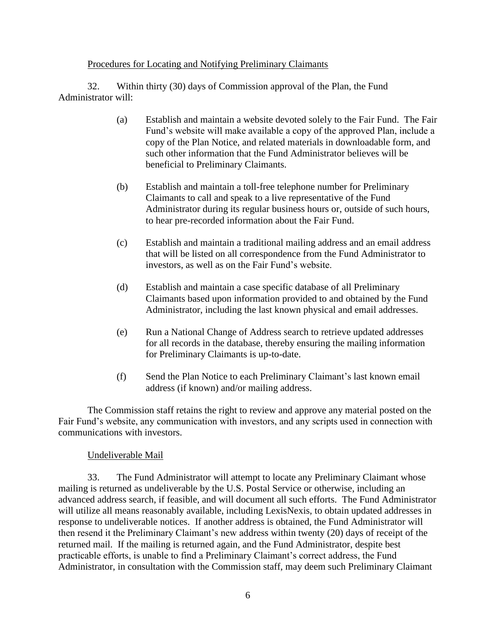#### Procedures for Locating and Notifying Preliminary Claimants

32. Within thirty (30) days of Commission approval of the Plan, the Fund Administrator will:

- (a) Establish and maintain a website devoted solely to the Fair Fund. The Fair Fund's website will make available a copy of the approved Plan, include a copy of the Plan Notice, and related materials in downloadable form, and such other information that the Fund Administrator believes will be beneficial to Preliminary Claimants.
- (b) Establish and maintain a toll-free telephone number for Preliminary Claimants to call and speak to a live representative of the Fund Administrator during its regular business hours or, outside of such hours, to hear pre-recorded information about the Fair Fund.
- (c) Establish and maintain a traditional mailing address and an email address that will be listed on all correspondence from the Fund Administrator to investors, as well as on the Fair Fund's website.
- (d) Establish and maintain a case specific database of all Preliminary Claimants based upon information provided to and obtained by the Fund Administrator, including the last known physical and email addresses.
- (e) Run a National Change of Address search to retrieve updated addresses for all records in the database, thereby ensuring the mailing information for Preliminary Claimants is up-to-date.
- (f) Send the Plan Notice to each Preliminary Claimant's last known email address (if known) and/or mailing address.

The Commission staff retains the right to review and approve any material posted on the Fair Fund's website, any communication with investors, and any scripts used in connection with communications with investors.

#### Undeliverable Mail

33. The Fund Administrator will attempt to locate any Preliminary Claimant whose mailing is returned as undeliverable by the U.S. Postal Service or otherwise, including an advanced address search, if feasible, and will document all such efforts. The Fund Administrator will utilize all means reasonably available, including LexisNexis, to obtain updated addresses in response to undeliverable notices. If another address is obtained, the Fund Administrator will then resend it the Preliminary Claimant's new address within twenty (20) days of receipt of the returned mail. If the mailing is returned again, and the Fund Administrator, despite best practicable efforts, is unable to find a Preliminary Claimant's correct address, the Fund Administrator, in consultation with the Commission staff, may deem such Preliminary Claimant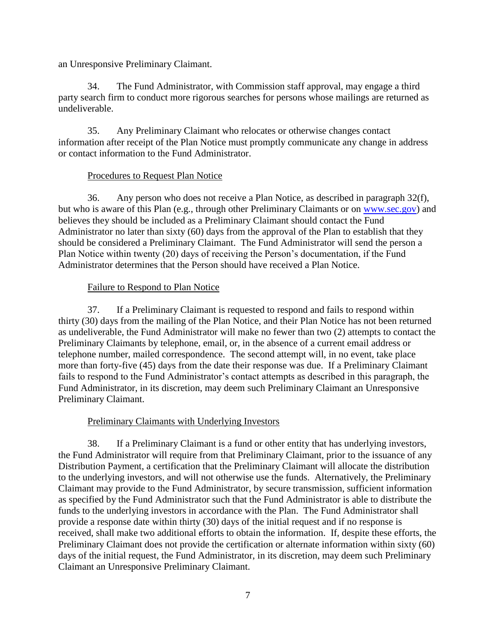an Unresponsive Preliminary Claimant.

34. The Fund Administrator, with Commission staff approval, may engage a third party search firm to conduct more rigorous searches for persons whose mailings are returned as undeliverable.

35. Any Preliminary Claimant who relocates or otherwise changes contact information after receipt of the Plan Notice must promptly communicate any change in address or contact information to the Fund Administrator.

#### Procedures to Request Plan Notice

36. Any person who does not receive a Plan Notice, as described in paragraph 32(f), but who is aware of this Plan (e.g., through other Preliminary Claimants or on [www.sec.gov\)](http://www.sec.gov/) and believes they should be included as a Preliminary Claimant should contact the Fund Administrator no later than sixty (60) days from the approval of the Plan to establish that they should be considered a Preliminary Claimant. The Fund Administrator will send the person a Plan Notice within twenty (20) days of receiving the Person's documentation, if the Fund Administrator determines that the Person should have received a Plan Notice.

#### Failure to Respond to Plan Notice

37. If a Preliminary Claimant is requested to respond and fails to respond within thirty (30) days from the mailing of the Plan Notice, and their Plan Notice has not been returned as undeliverable, the Fund Administrator will make no fewer than two (2) attempts to contact the Preliminary Claimants by telephone, email, or, in the absence of a current email address or telephone number, mailed correspondence. The second attempt will, in no event, take place more than forty-five (45) days from the date their response was due. If a Preliminary Claimant fails to respond to the Fund Administrator's contact attempts as described in this paragraph, the Fund Administrator, in its discretion, may deem such Preliminary Claimant an Unresponsive Preliminary Claimant.

## Preliminary Claimants with Underlying Investors

38. If a Preliminary Claimant is a fund or other entity that has underlying investors, the Fund Administrator will require from that Preliminary Claimant, prior to the issuance of any Distribution Payment, a certification that the Preliminary Claimant will allocate the distribution to the underlying investors, and will not otherwise use the funds. Alternatively, the Preliminary Claimant may provide to the Fund Administrator, by secure transmission, sufficient information as specified by the Fund Administrator such that the Fund Administrator is able to distribute the funds to the underlying investors in accordance with the Plan. The Fund Administrator shall provide a response date within thirty (30) days of the initial request and if no response is received, shall make two additional efforts to obtain the information. If, despite these efforts, the Preliminary Claimant does not provide the certification or alternate information within sixty (60) days of the initial request, the Fund Administrator, in its discretion, may deem such Preliminary Claimant an Unresponsive Preliminary Claimant.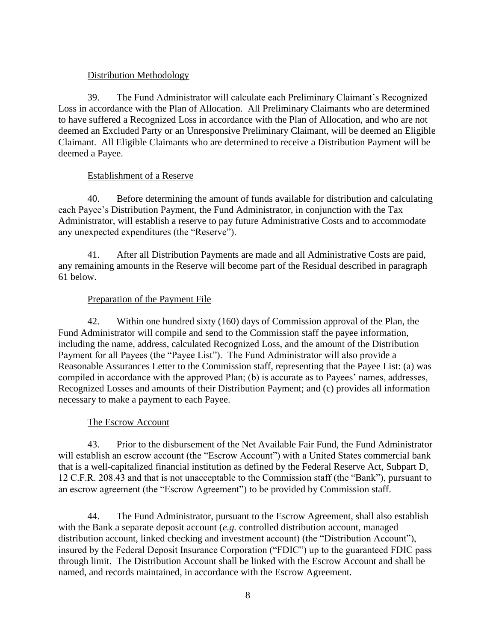#### Distribution Methodology

39. The Fund Administrator will calculate each Preliminary Claimant's Recognized Loss in accordance with the Plan of Allocation. All Preliminary Claimants who are determined to have suffered a Recognized Loss in accordance with the Plan of Allocation, and who are not deemed an Excluded Party or an Unresponsive Preliminary Claimant, will be deemed an Eligible Claimant. All Eligible Claimants who are determined to receive a Distribution Payment will be deemed a Payee.

#### Establishment of a Reserve

40. Before determining the amount of funds available for distribution and calculating each Payee's Distribution Payment, the Fund Administrator, in conjunction with the Tax Administrator, will establish a reserve to pay future Administrative Costs and to accommodate any unexpected expenditures (the "Reserve").

41. After all Distribution Payments are made and all Administrative Costs are paid, any remaining amounts in the Reserve will become part of the Residual described in paragraph 61 below.

## Preparation of the Payment File

42. Within one hundred sixty (160) days of Commission approval of the Plan, the Fund Administrator will compile and send to the Commission staff the payee information, including the name, address, calculated Recognized Loss, and the amount of the Distribution Payment for all Payees (the "Payee List"). The Fund Administrator will also provide a Reasonable Assurances Letter to the Commission staff, representing that the Payee List: (a) was compiled in accordance with the approved Plan; (b) is accurate as to Payees' names, addresses, Recognized Losses and amounts of their Distribution Payment; and (c) provides all information necessary to make a payment to each Payee.

## The Escrow Account

43. Prior to the disbursement of the Net Available Fair Fund, the Fund Administrator will establish an escrow account (the "Escrow Account") with a United States commercial bank that is a well-capitalized financial institution as defined by the Federal Reserve Act, Subpart D, 12 C.F.R. 208.43 and that is not unacceptable to the Commission staff (the "Bank"), pursuant to an escrow agreement (the "Escrow Agreement") to be provided by Commission staff.

44. The Fund Administrator, pursuant to the Escrow Agreement, shall also establish with the Bank a separate deposit account (*e.g.* controlled distribution account, managed distribution account, linked checking and investment account) (the "Distribution Account"), insured by the Federal Deposit Insurance Corporation ("FDIC") up to the guaranteed FDIC pass through limit. The Distribution Account shall be linked with the Escrow Account and shall be named, and records maintained, in accordance with the Escrow Agreement.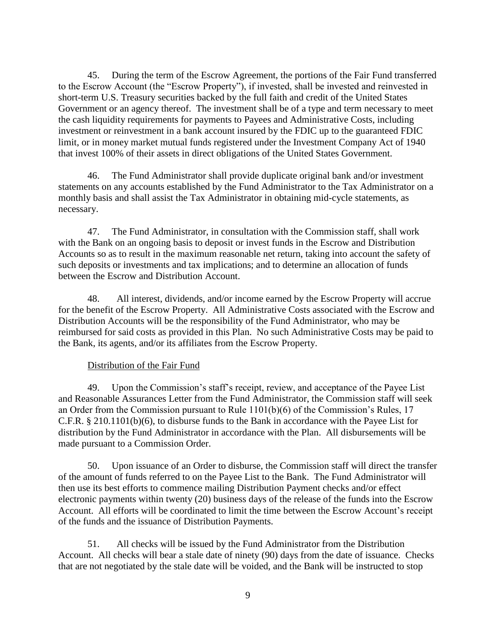45. During the term of the Escrow Agreement, the portions of the Fair Fund transferred to the Escrow Account (the "Escrow Property"), if invested, shall be invested and reinvested in short-term U.S. Treasury securities backed by the full faith and credit of the United States Government or an agency thereof. The investment shall be of a type and term necessary to meet the cash liquidity requirements for payments to Payees and Administrative Costs, including investment or reinvestment in a bank account insured by the FDIC up to the guaranteed FDIC limit, or in money market mutual funds registered under the Investment Company Act of 1940 that invest 100% of their assets in direct obligations of the United States Government.

46. The Fund Administrator shall provide duplicate original bank and/or investment statements on any accounts established by the Fund Administrator to the Tax Administrator on a monthly basis and shall assist the Tax Administrator in obtaining mid-cycle statements, as necessary.

47. The Fund Administrator, in consultation with the Commission staff, shall work with the Bank on an ongoing basis to deposit or invest funds in the Escrow and Distribution Accounts so as to result in the maximum reasonable net return, taking into account the safety of such deposits or investments and tax implications; and to determine an allocation of funds between the Escrow and Distribution Account.

48. All interest, dividends, and/or income earned by the Escrow Property will accrue for the benefit of the Escrow Property. All Administrative Costs associated with the Escrow and Distribution Accounts will be the responsibility of the Fund Administrator, who may be reimbursed for said costs as provided in this Plan. No such Administrative Costs may be paid to the Bank, its agents, and/or its affiliates from the Escrow Property.

#### Distribution of the Fair Fund

49. Upon the Commission's staff's receipt, review, and acceptance of the Payee List and Reasonable Assurances Letter from the Fund Administrator, the Commission staff will seek an Order from the Commission pursuant to Rule 1101(b)(6) of the Commission's Rules, 17 C.F.R. § 210.1101(b)(6), to disburse funds to the Bank in accordance with the Payee List for distribution by the Fund Administrator in accordance with the Plan. All disbursements will be made pursuant to a Commission Order.

50. Upon issuance of an Order to disburse, the Commission staff will direct the transfer of the amount of funds referred to on the Payee List to the Bank. The Fund Administrator will then use its best efforts to commence mailing Distribution Payment checks and/or effect electronic payments within twenty (20) business days of the release of the funds into the Escrow Account. All efforts will be coordinated to limit the time between the Escrow Account's receipt of the funds and the issuance of Distribution Payments.

51. All checks will be issued by the Fund Administrator from the Distribution Account. All checks will bear a stale date of ninety (90) days from the date of issuance. Checks that are not negotiated by the stale date will be voided, and the Bank will be instructed to stop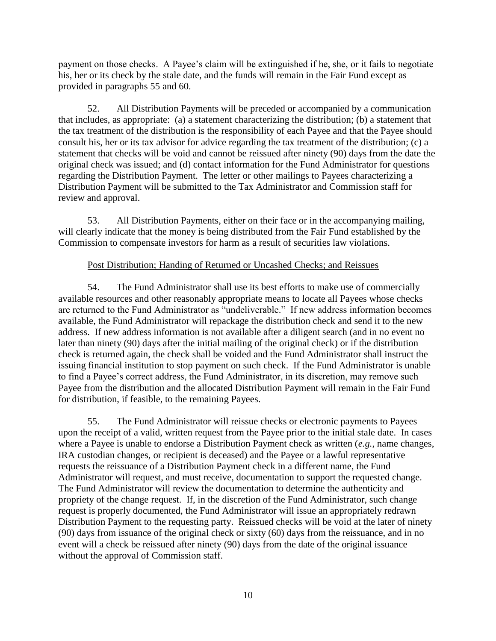payment on those checks. A Payee's claim will be extinguished if he, she, or it fails to negotiate his, her or its check by the stale date, and the funds will remain in the Fair Fund except as provided in paragraphs 55 and 60.

52. All Distribution Payments will be preceded or accompanied by a communication that includes, as appropriate: (a) a statement characterizing the distribution; (b) a statement that the tax treatment of the distribution is the responsibility of each Payee and that the Payee should consult his, her or its tax advisor for advice regarding the tax treatment of the distribution; (c) a statement that checks will be void and cannot be reissued after ninety (90) days from the date the original check was issued; and (d) contact information for the Fund Administrator for questions regarding the Distribution Payment. The letter or other mailings to Payees characterizing a Distribution Payment will be submitted to the Tax Administrator and Commission staff for review and approval.

53. All Distribution Payments, either on their face or in the accompanying mailing, will clearly indicate that the money is being distributed from the Fair Fund established by the Commission to compensate investors for harm as a result of securities law violations.

#### Post Distribution; Handing of Returned or Uncashed Checks; and Reissues

54. The Fund Administrator shall use its best efforts to make use of commercially available resources and other reasonably appropriate means to locate all Payees whose checks are returned to the Fund Administrator as "undeliverable." If new address information becomes available, the Fund Administrator will repackage the distribution check and send it to the new address. If new address information is not available after a diligent search (and in no event no later than ninety (90) days after the initial mailing of the original check) or if the distribution check is returned again, the check shall be voided and the Fund Administrator shall instruct the issuing financial institution to stop payment on such check. If the Fund Administrator is unable to find a Payee's correct address, the Fund Administrator, in its discretion, may remove such Payee from the distribution and the allocated Distribution Payment will remain in the Fair Fund for distribution, if feasible, to the remaining Payees.

55. The Fund Administrator will reissue checks or electronic payments to Payees upon the receipt of a valid, written request from the Payee prior to the initial stale date. In cases where a Payee is unable to endorse a Distribution Payment check as written (*e.g.*, name changes, IRA custodian changes, or recipient is deceased) and the Payee or a lawful representative requests the reissuance of a Distribution Payment check in a different name, the Fund Administrator will request, and must receive, documentation to support the requested change. The Fund Administrator will review the documentation to determine the authenticity and propriety of the change request. If, in the discretion of the Fund Administrator, such change request is properly documented, the Fund Administrator will issue an appropriately redrawn Distribution Payment to the requesting party. Reissued checks will be void at the later of ninety (90) days from issuance of the original check or sixty (60) days from the reissuance, and in no event will a check be reissued after ninety (90) days from the date of the original issuance without the approval of Commission staff.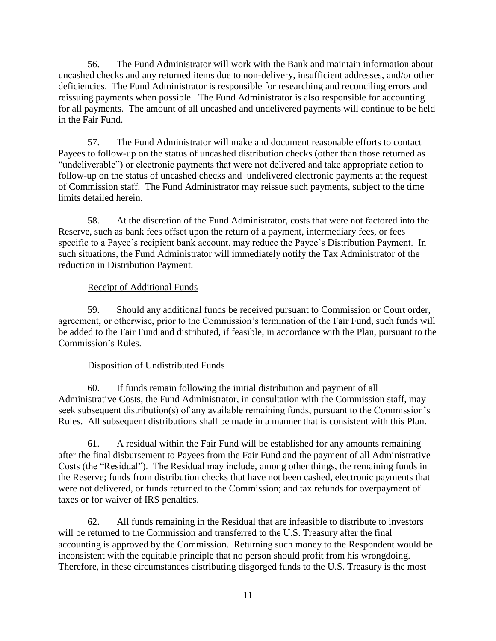56. The Fund Administrator will work with the Bank and maintain information about uncashed checks and any returned items due to non-delivery, insufficient addresses, and/or other deficiencies. The Fund Administrator is responsible for researching and reconciling errors and reissuing payments when possible. The Fund Administrator is also responsible for accounting for all payments. The amount of all uncashed and undelivered payments will continue to be held in the Fair Fund.

57. The Fund Administrator will make and document reasonable efforts to contact Payees to follow-up on the status of uncashed distribution checks (other than those returned as "undeliverable") or electronic payments that were not delivered and take appropriate action to follow-up on the status of uncashed checks and undelivered electronic payments at the request of Commission staff. The Fund Administrator may reissue such payments, subject to the time limits detailed herein.

58. At the discretion of the Fund Administrator, costs that were not factored into the Reserve, such as bank fees offset upon the return of a payment, intermediary fees, or fees specific to a Payee's recipient bank account, may reduce the Payee's Distribution Payment. In such situations, the Fund Administrator will immediately notify the Tax Administrator of the reduction in Distribution Payment.

## Receipt of Additional Funds

59. Should any additional funds be received pursuant to Commission or Court order, agreement, or otherwise, prior to the Commission's termination of the Fair Fund, such funds will be added to the Fair Fund and distributed, if feasible, in accordance with the Plan, pursuant to the Commission's Rules.

## Disposition of Undistributed Funds

60. If funds remain following the initial distribution and payment of all Administrative Costs, the Fund Administrator, in consultation with the Commission staff, may seek subsequent distribution(s) of any available remaining funds, pursuant to the Commission's Rules. All subsequent distributions shall be made in a manner that is consistent with this Plan.

61. A residual within the Fair Fund will be established for any amounts remaining after the final disbursement to Payees from the Fair Fund and the payment of all Administrative Costs (the "Residual"). The Residual may include, among other things, the remaining funds in the Reserve; funds from distribution checks that have not been cashed, electronic payments that were not delivered, or funds returned to the Commission; and tax refunds for overpayment of taxes or for waiver of IRS penalties.

62. All funds remaining in the Residual that are infeasible to distribute to investors will be returned to the Commission and transferred to the U.S. Treasury after the final accounting is approved by the Commission. Returning such money to the Respondent would be inconsistent with the equitable principle that no person should profit from his wrongdoing. Therefore, in these circumstances distributing disgorged funds to the U.S. Treasury is the most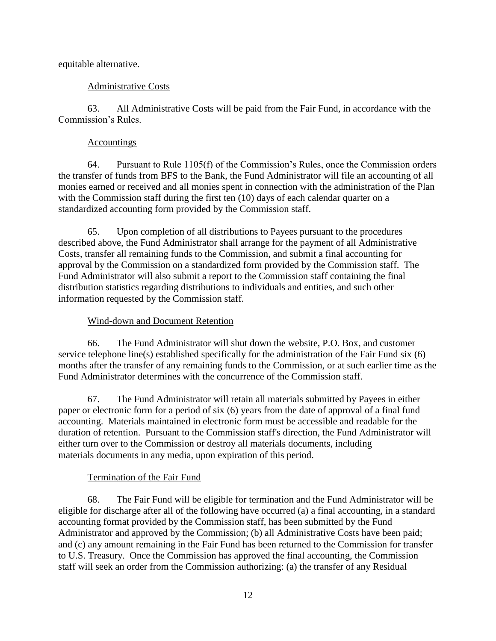equitable alternative.

## Administrative Costs

63. All Administrative Costs will be paid from the Fair Fund, in accordance with the Commission's Rules.

#### **Accountings**

64. Pursuant to Rule 1105(f) of the Commission's Rules, once the Commission orders the transfer of funds from BFS to the Bank, the Fund Administrator will file an accounting of all monies earned or received and all monies spent in connection with the administration of the Plan with the Commission staff during the first ten (10) days of each calendar quarter on a standardized accounting form provided by the Commission staff.

65. Upon completion of all distributions to Payees pursuant to the procedures described above, the Fund Administrator shall arrange for the payment of all Administrative Costs, transfer all remaining funds to the Commission, and submit a final accounting for approval by the Commission on a standardized form provided by the Commission staff. The Fund Administrator will also submit a report to the Commission staff containing the final distribution statistics regarding distributions to individuals and entities, and such other information requested by the Commission staff.

#### Wind-down and Document Retention

66. The Fund Administrator will shut down the website, P.O. Box, and customer service telephone line(s) established specifically for the administration of the Fair Fund six (6) months after the transfer of any remaining funds to the Commission, or at such earlier time as the Fund Administrator determines with the concurrence of the Commission staff.

67. The Fund Administrator will retain all materials submitted by Payees in either paper or electronic form for a period of six (6) years from the date of approval of a final fund accounting. Materials maintained in electronic form must be accessible and readable for the duration of retention. Pursuant to the Commission staff's direction, the Fund Administrator will either turn over to the Commission or destroy all materials documents, including materials documents in any media, upon expiration of this period.

## Termination of the Fair Fund

68. The Fair Fund will be eligible for termination and the Fund Administrator will be eligible for discharge after all of the following have occurred (a) a final accounting, in a standard accounting format provided by the Commission staff, has been submitted by the Fund Administrator and approved by the Commission; (b) all Administrative Costs have been paid; and (c) any amount remaining in the Fair Fund has been returned to the Commission for transfer to U.S. Treasury. Once the Commission has approved the final accounting, the Commission staff will seek an order from the Commission authorizing: (a) the transfer of any Residual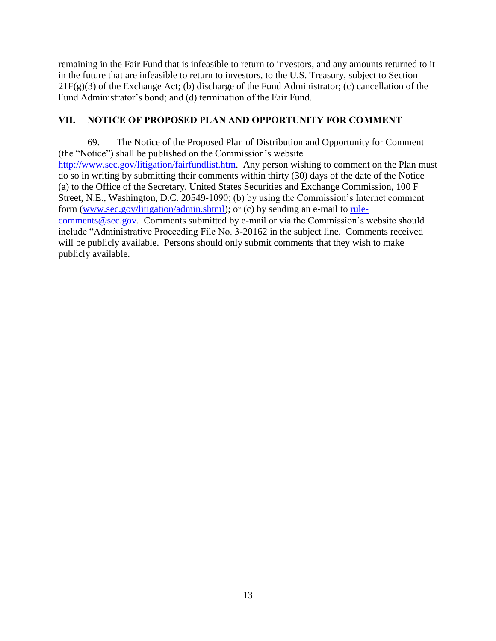remaining in the Fair Fund that is infeasible to return to investors, and any amounts returned to it in the future that are infeasible to return to investors, to the U.S. Treasury, subject to Section  $21F(g)(3)$  of the Exchange Act; (b) discharge of the Fund Administrator; (c) cancellation of the Fund Administrator's bond; and (d) termination of the Fair Fund.

## **VII. NOTICE OF PROPOSED PLAN AND OPPORTUNITY FOR COMMENT**

69. The Notice of the Proposed Plan of Distribution and Opportunity for Comment (the "Notice") shall be published on the Commission's website [http://www.sec.gov/litigation/fairfundlist.htm.](http://www.sec.gov/litigation/fairfundlist.htm) Any person wishing to comment on the Plan must do so in writing by submitting their comments within thirty (30) days of the date of the Notice (a) to the Office of the Secretary, United States Securities and Exchange Commission, 100 F Street, N.E., Washington, D.C. 20549-1090; (b) by using the Commission's Internet comment form [\(www.sec.gov/litigation/admin.shtml\)](http://www.sec.gov/litigation/admin.shtml); or (c) by sending an e-mail to [rule](mailto:rule-comments@sec.gov)[comments@sec.gov.](mailto:rule-comments@sec.gov) Comments submitted by e-mail or via the Commission's website should include "Administrative Proceeding File No. 3-20162 in the subject line. Comments received will be publicly available. Persons should only submit comments that they wish to make publicly available.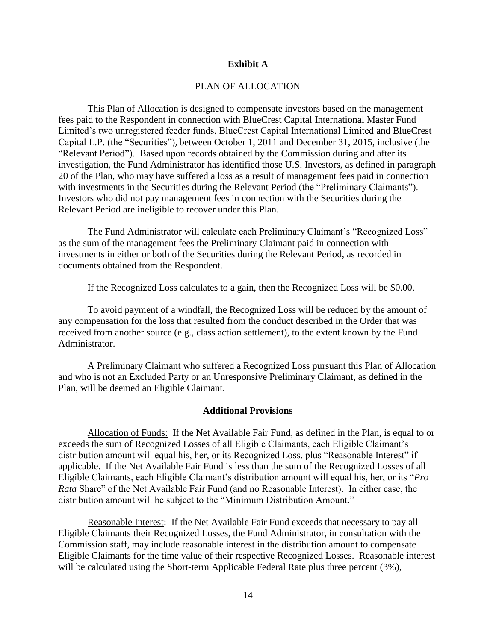#### **Exhibit A**

#### PLAN OF ALLOCATION

This Plan of Allocation is designed to compensate investors based on the management fees paid to the Respondent in connection with BlueCrest Capital International Master Fund Limited's two unregistered feeder funds, BlueCrest Capital International Limited and BlueCrest Capital L.P. (the "Securities"), between October 1, 2011 and December 31, 2015, inclusive (the "Relevant Period"). Based upon records obtained by the Commission during and after its investigation, the Fund Administrator has identified those U.S. Investors, as defined in paragraph 20 of the Plan, who may have suffered a loss as a result of management fees paid in connection with investments in the Securities during the Relevant Period (the "Preliminary Claimants"). Investors who did not pay management fees in connection with the Securities during the Relevant Period are ineligible to recover under this Plan.

The Fund Administrator will calculate each Preliminary Claimant's "Recognized Loss" as the sum of the management fees the Preliminary Claimant paid in connection with investments in either or both of the Securities during the Relevant Period, as recorded in documents obtained from the Respondent.

If the Recognized Loss calculates to a gain, then the Recognized Loss will be \$0.00.

To avoid payment of a windfall, the Recognized Loss will be reduced by the amount of any compensation for the loss that resulted from the conduct described in the Order that was received from another source (e.g., class action settlement), to the extent known by the Fund Administrator.

A Preliminary Claimant who suffered a Recognized Loss pursuant this Plan of Allocation and who is not an Excluded Party or an Unresponsive Preliminary Claimant, as defined in the Plan, will be deemed an Eligible Claimant.

#### **Additional Provisions**

Allocation of Funds: If the Net Available Fair Fund, as defined in the Plan, is equal to or exceeds the sum of Recognized Losses of all Eligible Claimants, each Eligible Claimant's distribution amount will equal his, her, or its Recognized Loss, plus "Reasonable Interest" if applicable. If the Net Available Fair Fund is less than the sum of the Recognized Losses of all Eligible Claimants, each Eligible Claimant's distribution amount will equal his, her, or its "*Pro Rata* Share" of the Net Available Fair Fund (and no Reasonable Interest). In either case, the distribution amount will be subject to the "Minimum Distribution Amount."

Reasonable Interest: If the Net Available Fair Fund exceeds that necessary to pay all Eligible Claimants their Recognized Losses, the Fund Administrator, in consultation with the Commission staff, may include reasonable interest in the distribution amount to compensate Eligible Claimants for the time value of their respective Recognized Losses. Reasonable interest will be calculated using the Short-term Applicable Federal Rate plus three percent (3%),